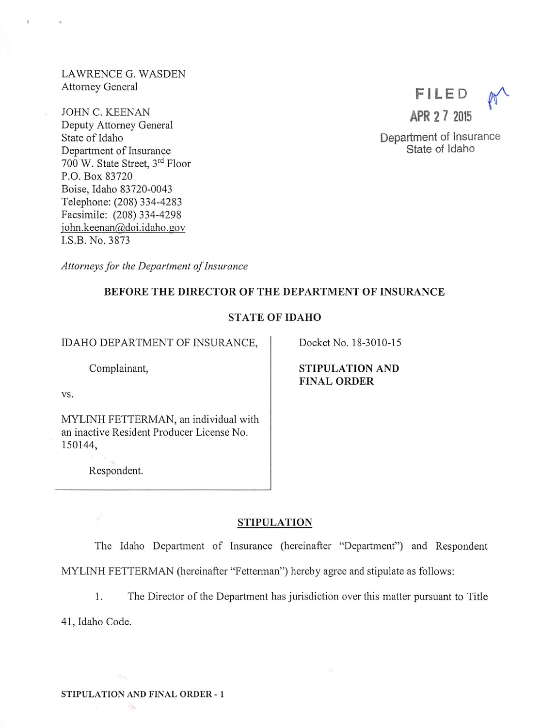LAWRENCE G. WASDEN Attorney General

JOHN C. KEENAN Deputy Attorney General State of Idaho Department of Insurance 700 W. State Street, 3<sup>rd</sup> Floor P.O. Box 83720 Boise, Idaho 83720-0043 Telephone; (208) 334-4283 Facsimile: (208) 334-4298 iohn.keenan@doi.idaho.gov I.S.B.No.3873

filed ^ APR 2 7 2015

Department of Insurance State of Idaho

Attorneys for the Department of Insurance

## BEFORE THE DIRECTOR OF THE DEPARTMENT OF INSURANCE

## STATE OF IDAHO

IDAHO DEPARTMENT OF INSURANCE,

Complainant,

vs.

MYLINH FETTERMAN, an individual with an inactive Resident Producer License No. 150144,

Respondent.

Docket No. 18-3010-15

STIPULATION AND FINAL ORDER

## STIPULATION

The Idaho Department of Insurance (hereinafter "Department") and Respondent MYLINH FETTERMAN (hereinafter "Fetterman") hereby agree and stipulate as follows:

1. The Director of the Department has jurisdiction over this matter pursuant to Title

Q

41, Idaho Code.

 $\tau_{\rm esc}$ 

m.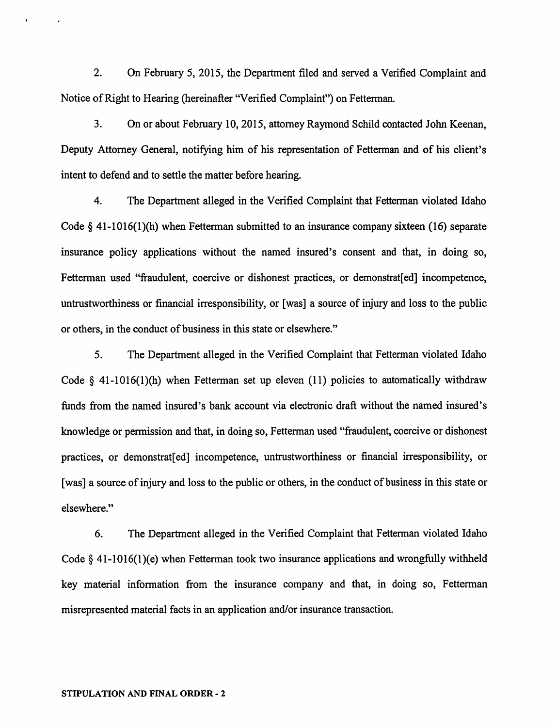2. On February 5, 2015, the Department filed and served a Verified Complaint and Notice of Right to Hearing (hereinafter "Verified Complaint") on Fetterman.

3. On or about February 10,2015, attorney Raymond Schild contacted John Keenan, Deputy Attorney General, notifying him of his representation of Fetterman and of his client's intent to defend and to settle the matter before hearing.

4. The Department alleged in the Verified Complaint that Fetterman violated Idaho Code § 41-1016(1)(h) when Fetterman submitted to an insurance company sixteen (16) separate insurance policy applications without the named insured's consent and that, in doing so, Fetterman used "fraudulent, coercive or dishonest practices, or demonstrat[ed] incompetence, untrustworthiness or financial irresponsibility, or [was] a source of injury and loss to the public or others, in the conduct of business in this state or elsewhere."

5. The Department alleged in the Verified Complaint that Fetterman violated Idaho Code  $\S$  41-1016(1)(h) when Fetterman set up eleven (11) policies to automatically withdraw funds from the named insured's bank account via electronic draft without the named insured's knowledge or permission and that, in doing so, Fetterman used "fraudulent, coercive or dishonest practices, or demonstrat[ed] incompetence, untrustworthiness or financial irresponsibility, or [was] a source of injury and loss to the public or others, in the conduct of business in this state or elsewhere."

6. The Department alleged in the Verified Complaint that Fetterman violated Idaho Code § 41-1016(1)(e) when Fetterman took two insurance applications and wrongfully withheld key material information from the insurance company and that, in doing so, Fetterman misrepresented material facts in an application and/or insurance transaction.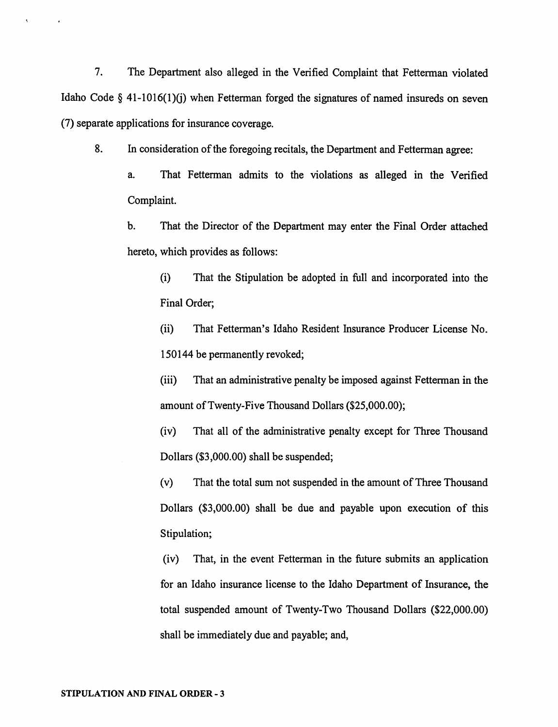7. The Department also alleged in the Verified Complaint that Fetterman violated Idaho Code  $\S$  41-1016(1)(j) when Fetterman forged the signatures of named insureds on seven (7) separate applications for insurance coverage.

8. In consideration of the foregoing recitals, the Department and Fetterman agree:

a. That Fetterman admits to the violations as alleged in the Verified Complaint.

b. That the Director of the Department may enter the Final Order attached hereto, which provides as follows:

(i) That the Stipulation be adopted in full and incorporated into the Final Order;

(ii) That Fetterman's Idaho Resident Insurance Producer License No. 150144 be permanently revoked;

(iii) That an administrative penalty be imposed against Fetterman in the amount ofTwenty-Five Thousand Dollars (\$25,000.00);

(iv) That all of the administrative penalty except for Three Thousand Dollars (\$3,000.00) shall be suspended;

(v) That the total sum not suspended in the amount of Three Thousand Dollars (\$3,000.00) shall be due and payable upon execution of this Stipulation;

(iv) That, in the event Fetterman in the future submits an application for an Idaho insurance license to the Idaho Department of Insurance, the total suspended amount of Twenty-Two Thousand Dollars (\$22,000.00) shall be immediately due and payable; and,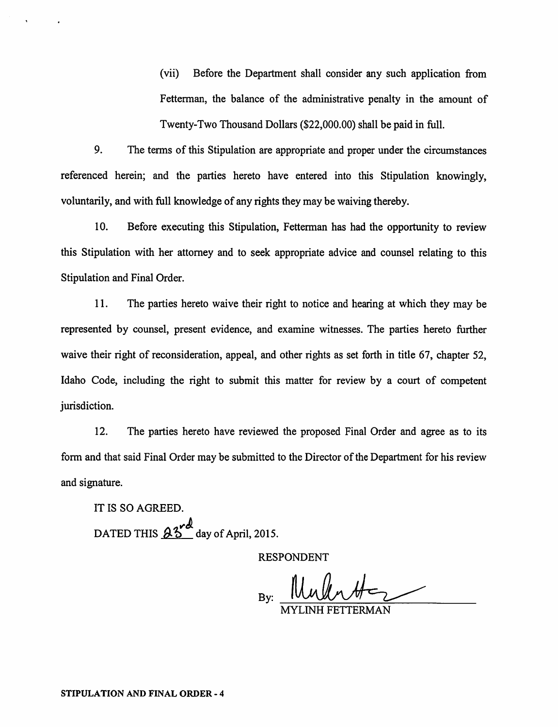(vii) Before the Department shall consider any such application from Fetterman, the balance of the administrative penalty in the amount of Twenty-Two Thousand Dollars (\$22,000.00) shall be paid in full.

9. The terms of this Stipulation are appropriate and proper under the circumstances referenced herein; and the parties hereto have entered into this Stipulation knowingly, voluntarily, and with full knowledge of any rights they may be waiving thereby.

10. Before executing this Stipulation, Fetterman has had the opportunity to review this Stipulation with her attorney and to seek appropriate advice and counsel relating to this Stipulation and Final Order.

11. The parties hereto waive their right to notice and hearing at which they may be represented by counsel, present evidence, and examine witnesses. The parties hereto further waive their right of reconsideration, appeal, and other rights as set forth in title 67, chapter 52, Idaho Code, including the right to submit this matter for review by a court of competent jurisdiction.

12. The parties hereto have reviewed the proposed Final Order and agree as to its form and that said Final Order may be submitted to the Director of the Department for his review and signature.

IT IS SO AGREED. DATED THIS  $95^{\degree}$  day of April, 2015.

RESPONDENT

By:

MYLINH FETTERMAN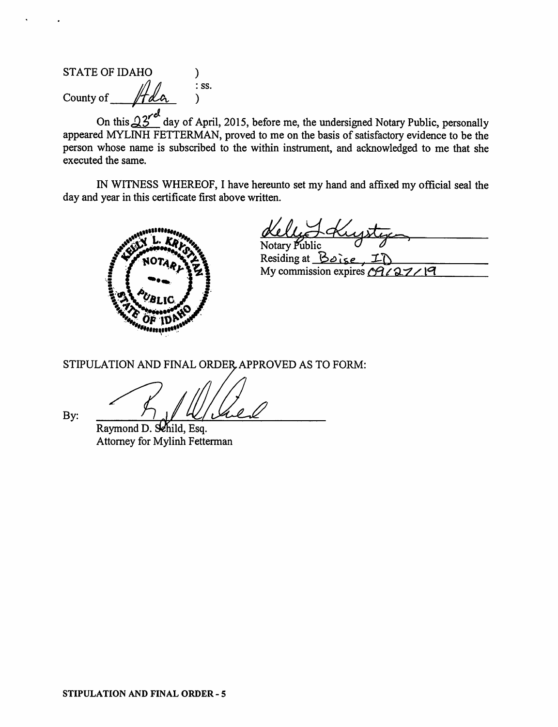STATE OF IDAHO ) County of  $\mathcal{H}_{d}$  iss.

On this  $23'$  day of April, 2015, before me, the undersigned Notary Public, personally appeared MYLINH FETTERMAN, proved to me on the basis of satisfactory evidence to be the person whose name is subscribed to the within instrument, and acknowledged to me that she executed the same.

IN WITNESS WHEREOF, 1 have hereunto set my hand and affixed my official seal the day and year in this certificate first above written.



Notary Public

Residing at  $Bole$ , I My commission expires  $\sqrt{9722}$  |9

STIPULATION AND FINAL ORDER, APPROVED AS TO FORM:

Raymond D. Sehild, Esq. Attorney for Mylinh Fetterman

By;

STIPULATION AND FINAL ORDER - 5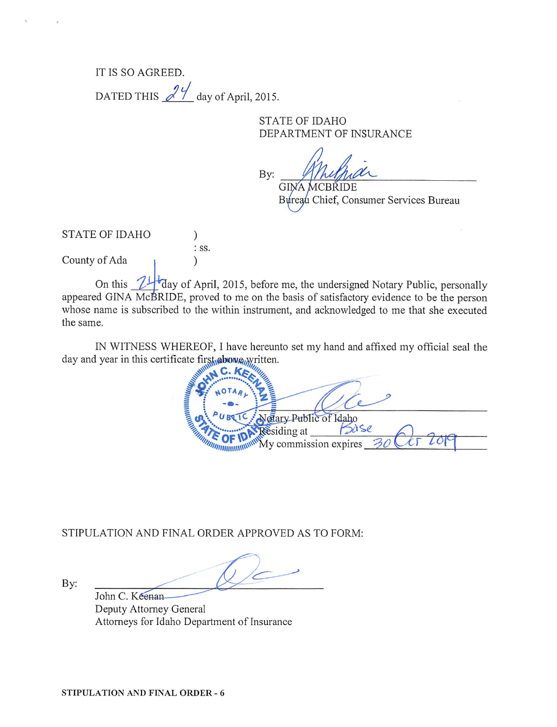IT IS SO AGREED. DATED THIS  $\frac{24}{\sqrt{2}}$  day of April, 2015.

> STATE OF IDAHO DEPARTMENT OF INSURANCE

har By: GINA MCBRIDE

Bureau Chief, Consumer Services Bureau

STATE OF IDAHO  $\mathcal{E}$ : ss. County of Ada )

On this  $\mathbb{Z}^{\mathbb{Z}}$  day of April, 2015, before me, the undersigned Notary Public, personally appeared GINA McBRIDE, proved to me on the basis of satisfactory evidence to be the person whose name is subscribed to the within instrument, and acknowledged to me that she executed the same.

IN WITNESS WHEREOF, I have hereunto set my hand and affixed my official seal the day and year in this certificate first abong written.

**WINNING**  $\frac{N}{N}$   $\frac{N}{N}$  Public of Idaho  $\gamma$  Ny commission expires  $\beta$ O CCT LO *MARKONTHON* 

STIPULATION AND FINAL ORDER APPROVED AS TO FORM:

By:

John C. Keenan Deputy Attorney General Attomeys for Idaho Department of Insurance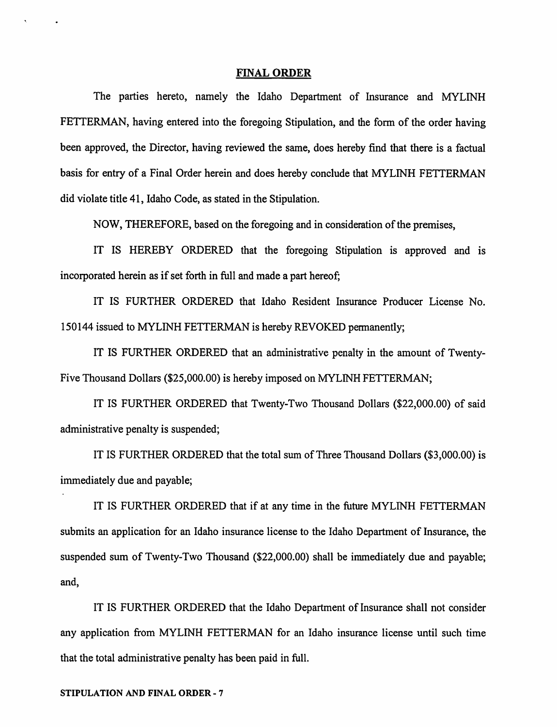#### FINAL ORDER

The parties hereto, namely the Idaho Department of Insurance and MYLINH FETTERMAN, having entered into the foregoing Stipulation, and the form of the order having been approved, the Director, having reviewed the same, does hereby find that there is a factual basis for entry of a Final Order herein and does hereby conclude that MYLINH FETTERMAN did violate title 41, Idaho Code, as stated in the Stipulation.

NOW, THEREFORE, based on the foregoing and in consideration of the premises,

IT IS HEREBY ORDERED that the foregoing Stipulation is approved and is incorporated herein as if set forth in full and made a part hereof;

IT IS FURTHER ORDERED that Idaho Resident Insurance Producer License No. 150144 issued to MYLINH FETTERMAN is hereby REVOKED permanently;

IT IS FURTHER ORDERED that an administrative penalty in the amount of Twenty-Five Thousand Dollars (\$25,000.00) is hereby imposed on MYLINH FETTERMAN;

IT IS FURTHER ORDERED that Twenty-Two Thousand Dollars (\$22,000.00) of said administrative penalty is suspended;

IT IS FURTHER ORDERED that the total sum ofThree Thousand Dollars (\$3,000.00) is immediately due and payable;

IT IS FURTHER ORDERED that if at any time in the future MYLINH FETTERMAN submits an application for an Idaho insurance license to the Idaho Department of Insurance, the suspended sum of Twenty-Two Thousand (\$22,000.00) shall be immediately due and payable; and,

IT IS FURTHER ORDERED that the Idaho Department of Insurance shall not consider any application from MYLINH FETTERMAN for an Idaho insurance license until such time that the total administrative penalty has been paid in full.

## STIPULATION AND FINAL ORDER - 7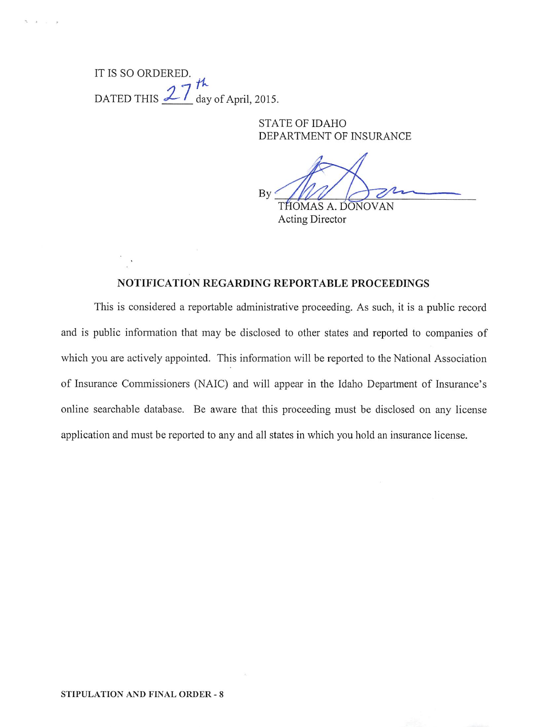IT IS SO ORDERED. DATED THIS  $\frac{27}{4}$  day of April, 2015.

> STATE OF IDAHO DEPARTMENT OF INSURANCE

By THOMAS A. DONOVAN

Acting Director

# NOTIFICATION REGARDING REPORTABLE PROCEEDINGS

This is considered a reportable administrative proceeding. As such, it is a public record and is public information that may be disclosed to other states and reported to companies of which you are actively appointed. This information will be reported to the National Association of Insurance Commissioners (NAIC) and will appear in the Idaho Department of Insurance's online searchable database. Be aware that this proceeding must be disclosed on any license application and must be reported to any and all states in which you hold an insurance license.